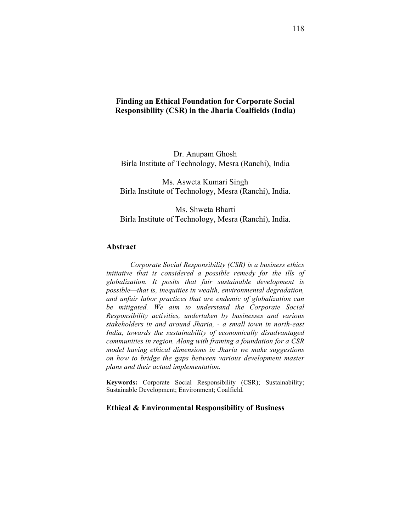## **Finding an Ethical Foundation for Corporate Social Responsibility (CSR) in the Jharia Coalfields (India)**

Dr. Anupam Ghosh Birla Institute of Technology, Mesra (Ranchi), India

Ms. Asweta Kumari Singh Birla Institute of Technology, Mesra (Ranchi), India.

Ms. Shweta Bharti Birla Institute of Technology, Mesra (Ranchi), India.

### **Abstract**

*Corporate Social Responsibility (CSR) is a business ethics initiative that is considered a possible remedy for the ills of globalization. It posits that fair sustainable development is possible—that is, inequities in wealth, environmental degradation, and unfair labor practices that are endemic of globalization can be mitigated. We aim to understand the Corporate Social Responsibility activities, undertaken by businesses and various stakeholders in and around Jharia, - a small town in north-east India, towards the sustainability of economically disadvantaged communities in region. Along with framing a foundation for a CSR model having ethical dimensions in Jharia we make suggestions on how to bridge the gaps between various development master plans and their actual implementation.*

**Keywords:** Corporate Social Responsibility (CSR); Sustainability; Sustainable Development; Environment; Coalfield.

#### **Ethical & Environmental Responsibility of Business**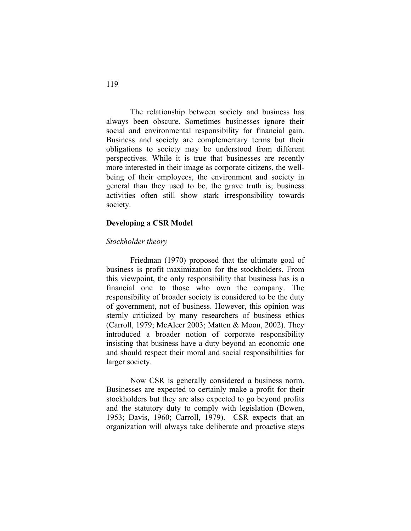The relationship between society and business has always been obscure. Sometimes businesses ignore their social and environmental responsibility for financial gain. Business and society are complementary terms but their obligations to society may be understood from different perspectives. While it is true that businesses are recently more interested in their image as corporate citizens, the wellbeing of their employees, the environment and society in general than they used to be, the grave truth is; business activities often still show stark irresponsibility towards society.

### **Developing a CSR Model**

### *Stockholder theory*

Friedman (1970) proposed that the ultimate goal of business is profit maximization for the stockholders. From this viewpoint, the only responsibility that business has is a financial one to those who own the company. The responsibility of broader society is considered to be the duty of government, not of business. However, this opinion was sternly criticized by many researchers of business ethics (Carroll, 1979; McAleer 2003; Matten & Moon, 2002). They introduced a broader notion of corporate responsibility insisting that business have a duty beyond an economic one and should respect their moral and social responsibilities for larger society.

Now CSR is generally considered a business norm. Businesses are expected to certainly make a profit for their stockholders but they are also expected to go beyond profits and the statutory duty to comply with legislation (Bowen, 1953; Davis, 1960; Carroll, 1979). CSR expects that an organization will always take deliberate and proactive steps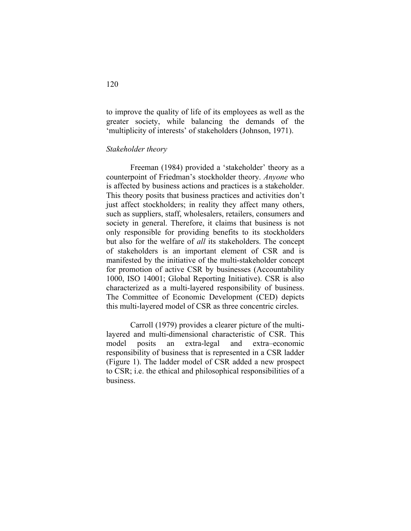to improve the quality of life of its employees as well as the greater society, while balancing the demands of the 'multiplicity of interests' of stakeholders (Johnson, 1971).

### *Stakeholder theory*

Freeman (1984) provided a 'stakeholder' theory as a counterpoint of Friedman's stockholder theory. *Anyone* who is affected by business actions and practices is a stakeholder. This theory posits that business practices and activities don't just affect stockholders; in reality they affect many others, such as suppliers, staff, wholesalers, retailers, consumers and society in general. Therefore, it claims that business is not only responsible for providing benefits to its stockholders but also for the welfare of *all* its stakeholders. The concept of stakeholders is an important element of CSR and is manifested by the initiative of the multi-stakeholder concept for promotion of active CSR by businesses (Accountability 1000, ISO 14001; Global Reporting Initiative). CSR is also characterized as a multi-layered responsibility of business. The Committee of Economic Development (CED) depicts this multi-layered model of CSR as three concentric circles.

Carroll (1979) provides a clearer picture of the multilayered and multi-dimensional characteristic of CSR. This model posits an extra-legal and extra–economic responsibility of business that is represented in a CSR ladder (Figure 1). The ladder model of CSR added a new prospect to CSR; i.e. the ethical and philosophical responsibilities of a business.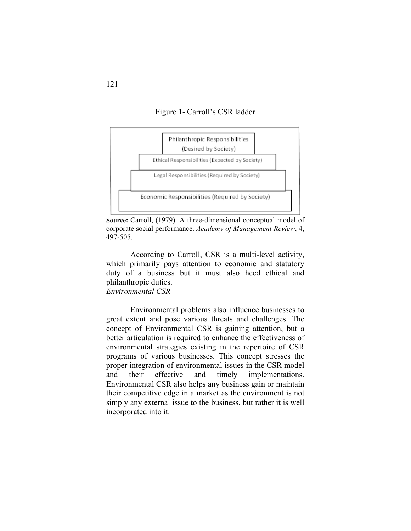Figure 1- Carroll's CSR ladder



**Source:** Carroll, (1979). A three-dimensional conceptual model of corporate social performance. *Academy of Management Review*, 4, 497-505.

According to Carroll, CSR is a multi-level activity, which primarily pays attention to economic and statutory duty of a business but it must also heed ethical and philanthropic duties.

*Environmental CSR*

Environmental problems also influence businesses to great extent and pose various threats and challenges. The concept of Environmental CSR is gaining attention, but a better articulation is required to enhance the effectiveness of environmental strategies existing in the repertoire of CSR programs of various businesses. This concept stresses the proper integration of environmental issues in the CSR model and their effective and timely implementations. Environmental CSR also helps any business gain or maintain their competitive edge in a market as the environment is not simply any external issue to the business, but rather it is well incorporated into it.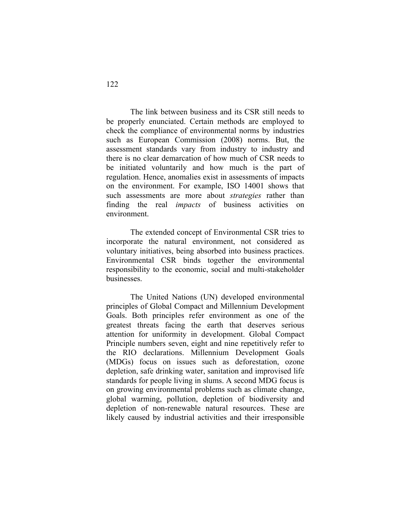The link between business and its CSR still needs to be properly enunciated. Certain methods are employed to check the compliance of environmental norms by industries such as European Commission (2008) norms. But, the assessment standards vary from industry to industry and there is no clear demarcation of how much of CSR needs to be initiated voluntarily and how much is the part of regulation. Hence, anomalies exist in assessments of impacts on the environment. For example, ISO 14001 shows that such assessments are more about *strategies* rather than finding the real *impacts* of business activities on environment.

The extended concept of Environmental CSR tries to incorporate the natural environment, not considered as voluntary initiatives, being absorbed into business practices. Environmental CSR binds together the environmental responsibility to the economic, social and multi-stakeholder businesses.

The United Nations (UN) developed environmental principles of Global Compact and Millennium Development Goals. Both principles refer environment as one of the greatest threats facing the earth that deserves serious attention for uniformity in development. Global Compact Principle numbers seven, eight and nine repetitively refer to the RIO declarations. Millennium Development Goals (MDGs) focus on issues such as deforestation, ozone depletion, safe drinking water, sanitation and improvised life standards for people living in slums. A second MDG focus is on growing environmental problems such as climate change, global warming, pollution, depletion of biodiversity and depletion of non-renewable natural resources. These are likely caused by industrial activities and their irresponsible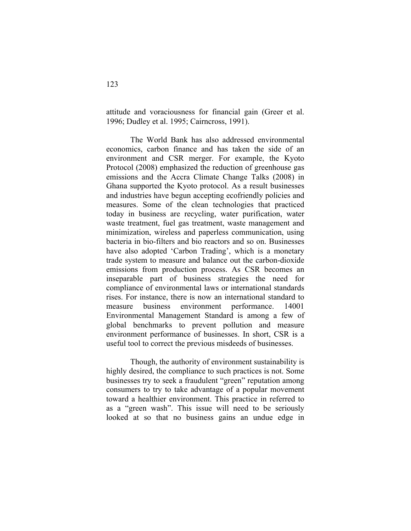attitude and voraciousness for financial gain (Greer et al. 1996; Dudley et al. 1995; Cairncross, 1991).

The World Bank has also addressed environmental economics, carbon finance and has taken the side of an environment and CSR merger. For example, the Kyoto Protocol (2008) emphasized the reduction of greenhouse gas emissions and the Accra Climate Change Talks (2008) in Ghana supported the Kyoto protocol. As a result businesses and industries have begun accepting ecofriendly policies and measures. Some of the clean technologies that practiced today in business are recycling, water purification, water waste treatment, fuel gas treatment, waste management and minimization, wireless and paperless communication, using bacteria in bio-filters and bio reactors and so on. Businesses have also adopted 'Carbon Trading', which is a monetary trade system to measure and balance out the carbon-dioxide emissions from production process. As CSR becomes an inseparable part of business strategies the need for compliance of environmental laws or international standards rises. For instance, there is now an international standard to measure business environment performance. 14001 Environmental Management Standard is among a few of global benchmarks to prevent pollution and measure environment performance of businesses. In short, CSR is a useful tool to correct the previous misdeeds of businesses.

Though, the authority of environment sustainability is highly desired, the compliance to such practices is not. Some businesses try to seek a fraudulent "green" reputation among consumers to try to take advantage of a popular movement toward a healthier environment. This practice in referred to as a "green wash". This issue will need to be seriously looked at so that no business gains an undue edge in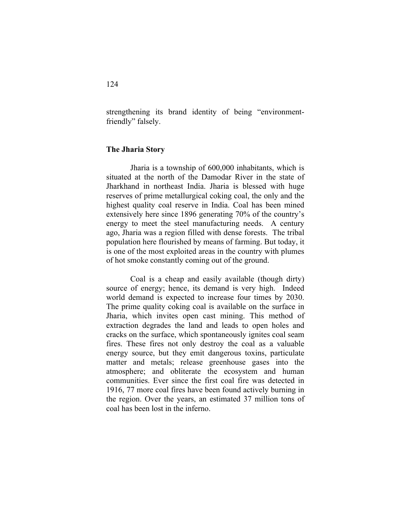strengthening its brand identity of being "environmentfriendly" falsely.

### **The Jharia Story**

Jharia is a township of 600,000 inhabitants, which is situated at the north of the Damodar River in the state of Jharkhand in northeast India. Jharia is blessed with huge reserves of prime metallurgical coking coal, the only and the highest quality coal reserve in India. Coal has been mined extensively here since 1896 generating 70% of the country's energy to meet the steel manufacturing needs. A century ago, Jharia was a region filled with dense forests. The tribal population here flourished by means of farming. But today, it is one of the most exploited areas in the country with plumes of hot smoke constantly coming out of the ground.

Coal is a cheap and easily available (though dirty) source of energy; hence, its demand is very high. Indeed world demand is expected to increase four times by 2030. The prime quality coking coal is available on the surface in Jharia, which invites open cast mining. This method of extraction degrades the land and leads to open holes and cracks on the surface, which spontaneously ignites coal seam fires. These fires not only destroy the coal as a valuable energy source, but they emit dangerous toxins, particulate matter and metals; release greenhouse gases into the atmosphere; and obliterate the ecosystem and human communities. Ever since the first coal fire was detected in 1916, 77 more coal fires have been found actively burning in the region. Over the years, an estimated 37 million tons of coal has been lost in the inferno.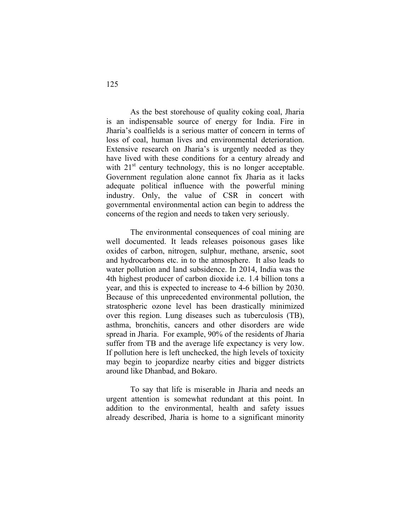As the best storehouse of quality coking coal, Jharia is an indispensable source of energy for India. Fire in Jharia's coalfields is a serious matter of concern in terms of loss of coal, human lives and environmental deterioration. Extensive research on Jharia's is urgently needed as they have lived with these conditions for a century already and with  $21<sup>st</sup>$  century technology, this is no longer acceptable. Government regulation alone cannot fix Jharia as it lacks adequate political influence with the powerful mining industry. Only, the value of CSR in concert with governmental environmental action can begin to address the concerns of the region and needs to taken very seriously.

The environmental consequences of coal mining are well documented. It leads releases poisonous gases like oxides of carbon, nitrogen, sulphur, methane, arsenic, soot and hydrocarbons etc. in to the atmosphere. It also leads to water pollution and land subsidence. In 2014, India was the 4th highest producer of carbon dioxide i.e. 1.4 billion tons a year, and this is expected to increase to 4-6 billion by 2030. Because of this unprecedented environmental pollution, the stratospheric ozone level has been drastically minimized over this region. Lung diseases such as tuberculosis (TB), asthma, bronchitis, cancers and other disorders are wide spread in Jharia. For example, 90% of the residents of Jharia suffer from TB and the average life expectancy is very low. If pollution here is left unchecked, the high levels of toxicity may begin to jeopardize nearby cities and bigger districts around like Dhanbad, and Bokaro.

To say that life is miserable in Jharia and needs an urgent attention is somewhat redundant at this point. In addition to the environmental, health and safety issues already described, Jharia is home to a significant minority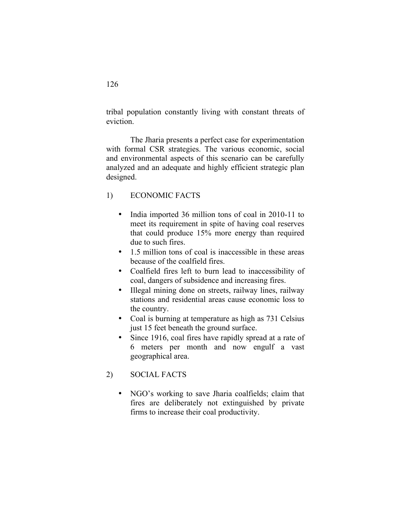tribal population constantly living with constant threats of eviction.

The Jharia presents a perfect case for experimentation with formal CSR strategies. The various economic, social and environmental aspects of this scenario can be carefully analyzed and an adequate and highly efficient strategic plan designed.

# 1) ECONOMIC FACTS

- India imported 36 million tons of coal in 2010-11 to meet its requirement in spite of having coal reserves that could produce 15% more energy than required due to such fires.
- 1.5 million tons of coal is inaccessible in these areas because of the coalfield fires.
- Coalfield fires left to burn lead to inaccessibility of coal, dangers of subsidence and increasing fires.
- Illegal mining done on streets, railway lines, railway stations and residential areas cause economic loss to the country.
- Coal is burning at temperature as high as 731 Celsius just 15 feet beneath the ground surface.
- Since 1916, coal fires have rapidly spread at a rate of 6 meters per month and now engulf a vast geographical area.
- 2) SOCIAL FACTS
	- NGO's working to save Jharia coalfields; claim that fires are deliberately not extinguished by private firms to increase their coal productivity.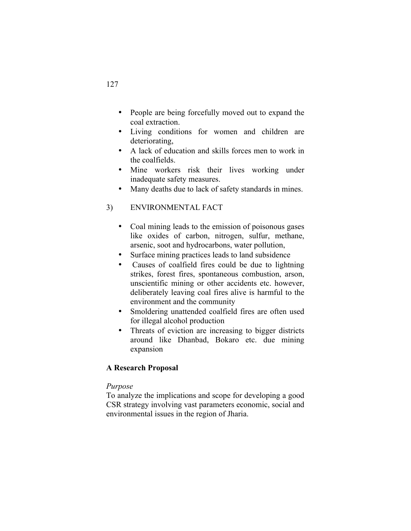- People are being forcefully moved out to expand the coal extraction.
- Living conditions for women and children are deteriorating,
- A lack of education and skills forces men to work in the coalfields.
- Mine workers risk their lives working under inadequate safety measures.
- Many deaths due to lack of safety standards in mines.

# 3) ENVIRONMENTAL FACT

- Coal mining leads to the emission of poisonous gases like oxides of carbon, nitrogen, sulfur, methane, arsenic, soot and hydrocarbons, water pollution,
- Surface mining practices leads to land subsidence
- Causes of coalfield fires could be due to lightning strikes, forest fires, spontaneous combustion, arson, unscientific mining or other accidents etc. however, deliberately leaving coal fires alive is harmful to the environment and the community
- Smoldering unattended coalfield fires are often used for illegal alcohol production
- Threats of eviction are increasing to bigger districts around like Dhanbad, Bokaro etc. due mining expansion

# **A Research Proposal**

## *Purpose*

To analyze the implications and scope for developing a good CSR strategy involving vast parameters economic, social and environmental issues in the region of Jharia.

# 127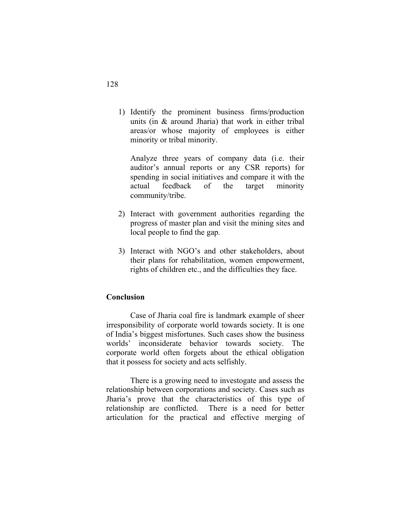1) Identify the prominent business firms/production units (in & around Jharia) that work in either tribal areas/or whose majority of employees is either minority or tribal minority.

Analyze three years of company data (i.e. their auditor's annual reports or any CSR reports) for spending in social initiatives and compare it with the actual feedback of the target minority community/tribe.

- 2) Interact with government authorities regarding the progress of master plan and visit the mining sites and local people to find the gap.
- 3) Interact with NGO's and other stakeholders, about their plans for rehabilitation, women empowerment, rights of children etc., and the difficulties they face.

# **Conclusion**

Case of Jharia coal fire is landmark example of sheer irresponsibility of corporate world towards society. It is one of India's biggest misfortunes. Such cases show the business worlds' inconsiderate behavior towards society. The corporate world often forgets about the ethical obligation that it possess for society and acts selfishly.

There is a growing need to investogate and assess the relationship between corporations and society. Cases such as Jharia's prove that the characteristics of this type of relationship are conflicted. There is a need for better articulation for the practical and effective merging of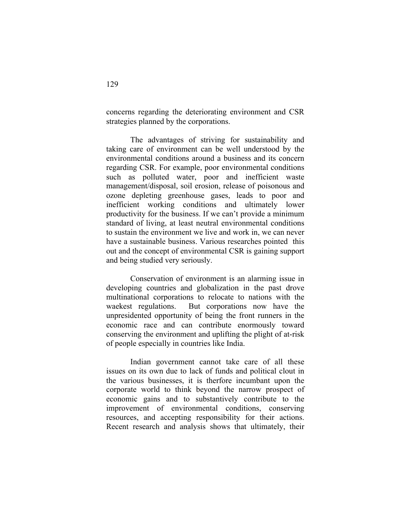concerns regarding the deteriorating environment and CSR strategies planned by the corporations.

The advantages of striving for sustainability and taking care of environment can be well understood by the environmental conditions around a business and its concern regarding CSR. For example, poor environmental conditions such as polluted water, poor and inefficient waste management/disposal, soil erosion, release of poisonous and ozone depleting greenhouse gases, leads to poor and inefficient working conditions and ultimately lower productivity for the business. If we can't provide a minimum standard of living, at least neutral environmental conditions to sustain the environment we live and work in, we can never have a sustainable business. Various researches pointed this out and the concept of environmental CSR is gaining support and being studied very seriously.

Conservation of environment is an alarming issue in developing countries and globalization in the past drove multinational corporations to relocate to nations with the waekest regulations. But corporations now have the unpresidented opportunity of being the front runners in the economic race and can contribute enormously toward conserving the environment and uplifting the plight of at-risk of people especially in countries like India.

Indian government cannot take care of all these issues on its own due to lack of funds and political clout in the various businesses, it is therfore incumbant upon the corporate world to think beyond the narrow prospect of economic gains and to substantively contribute to the improvement of environmental conditions, conserving resources, and accepting responsibility for their actions. Recent research and analysis shows that ultimately, their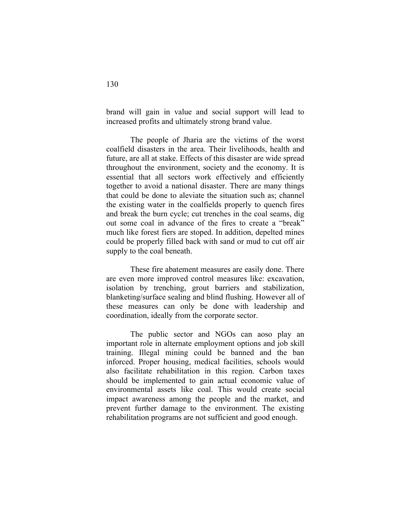brand will gain in value and social support will lead to increased profits and ultimately strong brand value.

The people of Jharia are the victims of the worst coalfield disasters in the area. Their livelihoods, health and future, are all at stake. Effects of this disaster are wide spread throughout the environment, society and the economy. It is essential that all sectors work effectively and efficiently together to avoid a national disaster. There are many things that could be done to aleviate the situation such as; channel the existing water in the coalfields properly to quench fires and break the burn cycle; cut trenches in the coal seams, dig out some coal in advance of the fires to create a "break" much like forest fiers are stoped. In addition, depelted mines could be properly filled back with sand or mud to cut off air supply to the coal beneath.

These fire abatement measures are easily done. There are even more improved control measures like: excavation, isolation by trenching, grout barriers and stabilization, blanketing/surface sealing and blind flushing. However all of these measures can only be done with leadership and coordination, ideally from the corporate sector.

The public sector and NGOs can aoso play an important role in alternate employment options and job skill training. Illegal mining could be banned and the ban inforced. Proper housing, medical facilities, schools would also facilitate rehabilitation in this region. Carbon taxes should be implemented to gain actual economic value of environmental assets like coal. This would create social impact awareness among the people and the market, and prevent further damage to the environment. The existing rehabilitation programs are not sufficient and good enough.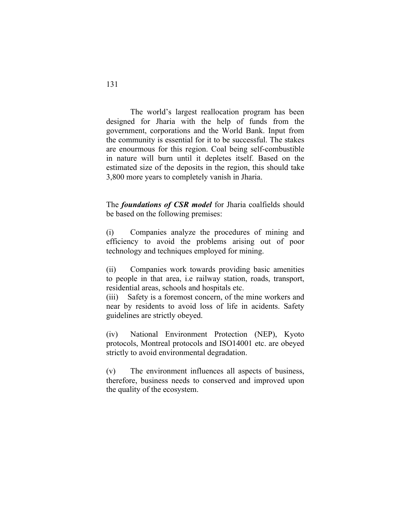The world's largest reallocation program has been designed for Jharia with the help of funds from the government, corporations and the World Bank. Input from the community is essential for it to be successful. The stakes are enourmous for this region. Coal being self-combustible in nature will burn until it depletes itself. Based on the estimated size of the deposits in the region, this should take 3,800 more years to completely vanish in Jharia.

The *foundations of CSR model* for Jharia coalfields should be based on the following premises:

(i) Companies analyze the procedures of mining and efficiency to avoid the problems arising out of poor technology and techniques employed for mining.

(ii) Companies work towards providing basic amenities to people in that area, i.e railway station, roads, transport, residential areas, schools and hospitals etc.

(iii) Safety is a foremost concern, of the mine workers and near by residents to avoid loss of life in acidents. Safety guidelines are strictly obeyed.

(iv) National Environment Protection (NEP), Kyoto protocols, Montreal protocols and ISO14001 etc. are obeyed strictly to avoid environmental degradation.

(v) The environment influences all aspects of business, therefore, business needs to conserved and improved upon the quality of the ecosystem.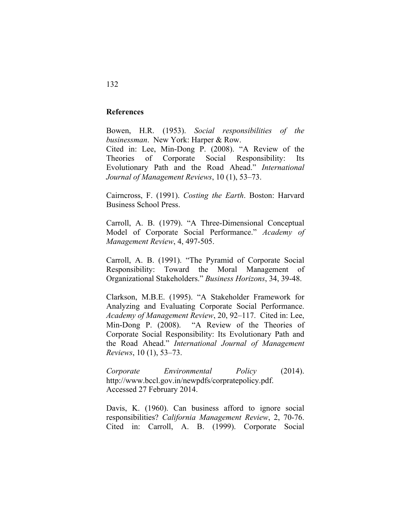## **References**

Bowen, H.R. (1953). *Social responsibilities of the businessman*. New York: Harper & Row. Cited in: Lee, Min-Dong P. (2008). "A Review of the Theories of Corporate Social Responsibility: Its Evolutionary Path and the Road Ahead." *International Journal of Management Reviews*, 10 (1), 53–73.

Cairncross, F. (1991). *Costing the Earth*. Boston: Harvard Business School Press.

Carroll, A. B. (1979). "A Three-Dimensional Conceptual Model of Corporate Social Performance." *Academy of Management Review*, 4, 497-505.

Carroll, A. B. (1991). "The Pyramid of Corporate Social Responsibility: Toward the Moral Management of Organizational Stakeholders." *Business Horizons*, 34, 39-48.

Clarkson, M.B.E. (1995). "A Stakeholder Framework for Analyzing and Evaluating Corporate Social Performance. *Academy of Management Review*, 20, 92–117. Cited in: Lee, Min-Dong P. (2008). "A Review of the Theories of Corporate Social Responsibility: Its Evolutionary Path and the Road Ahead." *International Journal of Management Reviews*, 10 (1), 53–73.

*Corporate Environmental Policy* (2014). http://www.bccl.gov.in/newpdfs/corpratepolicy.pdf. Accessed 27 February 2014.

Davis, K. (1960). Can business afford to ignore social responsibilities? *California Management Review*, 2, 70-76. Cited in: Carroll, A. B. (1999). Corporate Social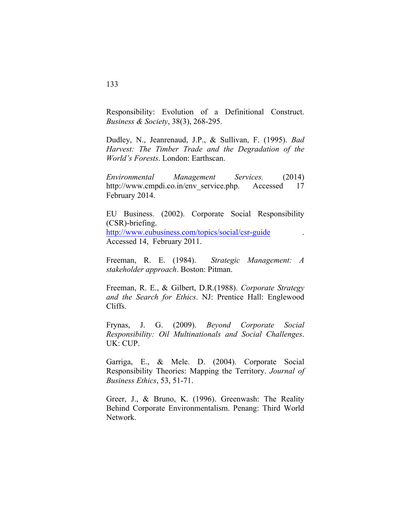Responsibility: Evolution of a Definitional Construct. *Business & Society*, 38(3), 268-295.

Dudley, N., Jeanrenaud, J.P., & Sullivan, F. (1995). *Bad Harvest: The Timber Trade and the Degradation of the World's Forests*. London: Earthscan.

*Environmental Management Services.* (2014) http://www.cmpdi.co.in/env\_service.php. Accessed 17 February 2014.

EU Business. (2002). Corporate Social Responsibility (CSR)-briefing. http://www.eubusiness.com/topics/social/csr-guide . Accessed 14, February 2011.

Freeman, R. E. (1984). *Strategic Management: A stakeholder approach*. Boston: Pitman.

Freeman, R. E., & Gilbert, D.R.(1988). *Corporate Strategy and the Search for Ethics*. NJ: Prentice Hall: Englewood Cliffs.

Frynas, J. G. (2009). *Beyond Corporate Social Responsibility: Oil Multinationals and Social Challenges*. UK: CUP.

Garriga, E., & Mele. D. (2004). Corporate Social Responsibility Theories: Mapping the Territory. *Journal of Business Ethics*, 53, 51-71.

Greer, J., & Bruno, K. (1996). Greenwash: The Reality Behind Corporate Environmentalism. Penang: Third World Network.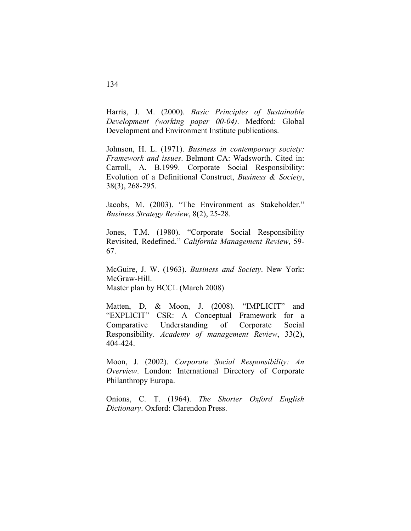Harris, J. M. (2000). *Basic Principles of Sustainable Development (working paper 00-04)*. Medford: Global Development and Environment Institute publications.

Johnson, H. L. (1971). *Business in contemporary society: Framework and issues*. Belmont CA: Wadsworth. Cited in: Carroll, A. B.1999. Corporate Social Responsibility: Evolution of a Definitional Construct, *Business & Society*, 38(3), 268-295.

Jacobs, M. (2003). "The Environment as Stakeholder." *Business Strategy Review*, 8(2), 25-28.

Jones, T.M. (1980). "Corporate Social Responsibility Revisited, Redefined." *California Management Review*, 59- 67.

McGuire, J. W. (1963). *Business and Society*. New York: McGraw-Hill. Master plan by BCCL (March 2008)

Matten, D, & Moon, J. (2008). "IMPLICIT" and "EXPLICIT" CSR: A Conceptual Framework for a Comparative Understanding of Corporate Social Responsibility. *Academy of management Review*, 33(2), 404-424.

Moon, J. (2002). *Corporate Social Responsibility: An Overview*. London: International Directory of Corporate Philanthropy Europa.

Onions, C. T. (1964). *The Shorter Oxford English Dictionary*. Oxford: Clarendon Press.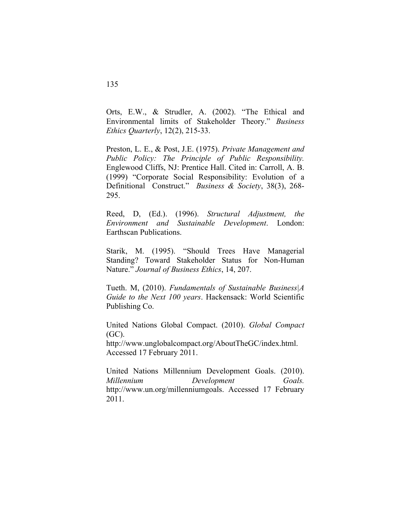Orts, E.W., & Strudler, A. (2002). "The Ethical and Environmental limits of Stakeholder Theory." *Business Ethics Quarterly*, 12(2), 215-33.

Preston, L. E., & Post, J.E. (1975). *Private Management and Public Policy: The Principle of Public Responsibility.* Englewood Cliffs, NJ: Prentice Hall. Cited in: Carroll, A. B. (1999) "Corporate Social Responsibility: Evolution of a Definitional Construct." *Business & Society*, 38(3), 268- 295.

Reed, D, (Ed.). (1996). *Structural Adjustment, the Environment and Sustainable Development*. London: Earthscan Publications.

Starik, M. (1995). "Should Trees Have Managerial Standing? Toward Stakeholder Status for Non-Human Nature." *Journal of Business Ethics*, 14, 207.

Tueth. M, (2010). *Fundamentals of Sustainable Business|A Guide to the Next 100 years*. Hackensack: World Scientific Publishing Co.

United Nations Global Compact. (2010). *Global Compact* (GC).

http://www.unglobalcompact.org/AboutTheGC/index.html. Accessed 17 February 2011.

United Nations Millennium Development Goals. (2010). *Millennium Development Goals.* http://www.un.org/millenniumgoals. Accessed 17 February 2011.